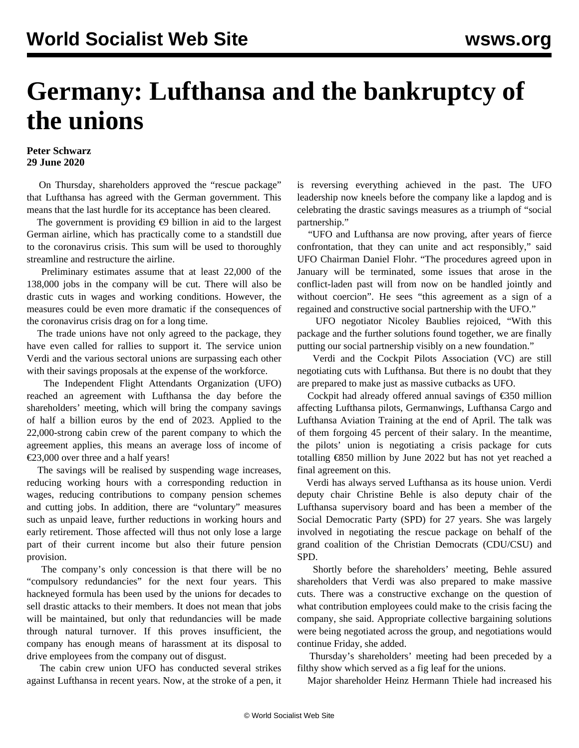## **Germany: Lufthansa and the bankruptcy of the unions**

## **Peter Schwarz 29 June 2020**

 On Thursday, shareholders approved the "rescue package" that Lufthansa has agreed with the German government. This means that the last hurdle for its acceptance has been cleared.

The government is providing  $\epsilon$ 9 billion in aid to the largest German airline, which has practically come to a standstill due to the coronavirus crisis. This sum will be used to thoroughly streamline and restructure the airline.

 Preliminary estimates assume that at least 22,000 of the 138,000 jobs in the company will be cut. There will also be drastic cuts in wages and working conditions. However, the measures could be even more dramatic if the consequences of the coronavirus crisis drag on for a long time.

 The trade unions have not only agreed to the package, they have even called for rallies to support it. The service union Verdi and the various sectoral unions are surpassing each other with their savings proposals at the expense of the workforce.

 The Independent Flight Attendants Organization (UFO) reached an agreement with Lufthansa the day before the shareholders' meeting, which will bring the company savings of half a billion euros by the end of 2023. Applied to the 22,000-strong cabin crew of the parent company to which the agreement applies, this means an average loss of income of €23,000 over three and a half years!

 The savings will be realised by suspending wage increases, reducing working hours with a corresponding reduction in wages, reducing contributions to company pension schemes and cutting jobs. In addition, there are "voluntary" measures such as unpaid leave, further reductions in working hours and early retirement. Those affected will thus not only lose a large part of their current income but also their future pension provision.

 The company's only concession is that there will be no "compulsory redundancies" for the next four years. This hackneyed formula has been used by the unions for decades to sell drastic attacks to their members. It does not mean that jobs will be maintained, but only that redundancies will be made through natural turnover. If this proves insufficient, the company has enough means of harassment at its disposal to drive employees from the company out of disgust.

 The cabin crew union UFO has conducted several strikes against Lufthansa in recent years. Now, at the stroke of a pen, it is reversing everything achieved in the past. The UFO leadership now kneels before the company like a lapdog and is celebrating the drastic savings measures as a triumph of "social partnership."

 "UFO and Lufthansa are now proving, after years of fierce confrontation, that they can unite and act responsibly," said UFO Chairman Daniel Flohr. "The procedures agreed upon in January will be terminated, some issues that arose in the conflict-laden past will from now on be handled jointly and without coercion". He sees "this agreement as a sign of a regained and constructive social partnership with the UFO."

 UFO negotiator Nicoley Baublies rejoiced, "With this package and the further solutions found together, we are finally putting our social partnership visibly on a new foundation."

 Verdi and the Cockpit Pilots Association (VC) are still negotiating cuts with Lufthansa. But there is no doubt that they are prepared to make just as massive cutbacks as UFO.

 Cockpit had already offered annual savings of €350 million affecting Lufthansa pilots, Germanwings, Lufthansa Cargo and Lufthansa Aviation Training at the end of April. The talk was of them forgoing 45 percent of their salary. In the meantime, the pilots' union is negotiating a crisis package for cuts totalling €850 million by June 2022 but has not yet reached a final agreement on this.

 Verdi has always served Lufthansa as its house union. Verdi deputy chair Christine Behle is also deputy chair of the Lufthansa supervisory board and has been a member of the Social Democratic Party (SPD) for 27 years. She was largely involved in negotiating the rescue package on behalf of the grand coalition of the Christian Democrats (CDU/CSU) and SPD.

 Shortly before the shareholders' meeting, Behle assured shareholders that Verdi was also prepared to make massive cuts. There was a constructive exchange on the question of what contribution employees could make to the crisis facing the company, she said. Appropriate collective bargaining solutions were being negotiated across the group, and negotiations would continue Friday, she added.

 Thursday's shareholders' meeting had been preceded by a filthy show which served as a fig leaf for the unions.

Major shareholder Heinz Hermann Thiele had increased his